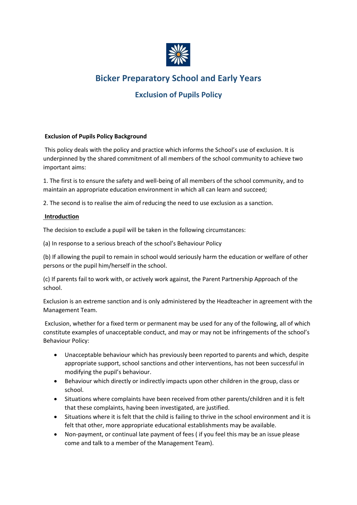

# **Bicker Preparatory School and Early Years**

# **Exclusion of Pupils Policy**

## **Exclusion of Pupils Policy Background**

This policy deals with the policy and practice which informs the School's use of exclusion. It is underpinned by the shared commitment of all members of the school community to achieve two important aims:

1. The first is to ensure the safety and well-being of all members of the school community, and to maintain an appropriate education environment in which all can learn and succeed;

2. The second is to realise the aim of reducing the need to use exclusion as a sanction.

### **Introduction**

The decision to exclude a pupil will be taken in the following circumstances:

(a) In response to a serious breach of the school's Behaviour Policy

(b) If allowing the pupil to remain in school would seriously harm the education or welfare of other persons or the pupil him/herself in the school.

(c) If parents fail to work with, or actively work against, the Parent Partnership Approach of the school.

Exclusion is an extreme sanction and is only administered by the Headteacher in agreement with the Management Team.

Exclusion, whether for a fixed term or permanent may be used for any of the following, all of which constitute examples of unacceptable conduct, and may or may not be infringements of the school's Behaviour Policy:

- Unacceptable behaviour which has previously been reported to parents and which, despite appropriate support, school sanctions and other interventions, has not been successful in modifying the pupil's behaviour.
- Behaviour which directly or indirectly impacts upon other children in the group, class or school.
- Situations where complaints have been received from other parents/children and it is felt that these complaints, having been investigated, are justified.
- Situations where it is felt that the child is failing to thrive in the school environment and it is felt that other, more appropriate educational establishments may be available.
- Non-payment, or continual late payment of fees ( if you feel this may be an issue please come and talk to a member of the Management Team).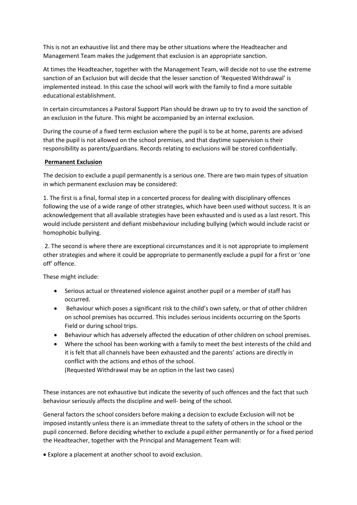This is not an exhaustive list and there may be other situations where the Headteacher and Management Team makes the judgement that exclusion is an appropriate sanction.

At times the Headteacher, together with the Management Team, will decide not to use the extreme sanction of an Exclusion but will decide that the lesser sanction of 'Requested Withdrawal' is implemented instead. In this case the school will work with the family to find a more suitable educational establishment.

In certain circumstances a Pastoral Support Plan should be drawn up to try to avoid the sanction of an exclusion in the future. This might be accompanied by an internal exclusion.

During the course of a fixed term exclusion where the pupil is to be at home, parents are advised that the pupil is not allowed on the school premises, and that daytime supervision is their responsibility as parents/guardians. Records relating to exclusions will be stored confidentially.

### **Permanent Exclusion**

The decision to exclude a pupil permanently is a serious one. There are two main types of situation in which permanent exclusion may be considered:

1. The first is a final, formal step in a concerted process for dealing with disciplinary offences following the use of a wide range of other strategies, which have been used without success. It is an acknowledgement that all available strategies have been exhausted and is used as a last resort. This would include persistent and defiant misbehaviour including bullying (which would include racist or homophobic bullying.

2. The second is where there are exceptional circumstances and it is not appropriate to implement other strategies and where it could be appropriate to permanently exclude a pupil for a first or 'one off' offence.

These might include:

- Serious actual or threatened violence against another pupil or a member of staff has occurred.
- Behaviour which poses a significant risk to the child's own safety, or that of other children on school premises has occurred. This includes serious incidents occurring on the Sports Field or during school trips.
- Behaviour which has adversely affected the education of other children on school premises.
- Where the school has been working with a family to meet the best interests of the child and it is felt that all channels have been exhausted and the parents' actions are directly in conflict with the actions and ethos of the school.

(Requested Withdrawal may be an option in the last two cases)

These instances are not exhaustive but indicate the severity of such offences and the fact that such behaviour seriously affects the discipline and well- being of the school.

General factors the school considers before making a decision to exclude Exclusion will not be imposed instantly unless there is an immediate threat to the safety of others in the school or the pupil concerned. Before deciding whether to exclude a pupil either permanently or for a fixed period the Headteacher, together with the Principal and Management Team will:

• Explore a placement at another school to avoid exclusion.